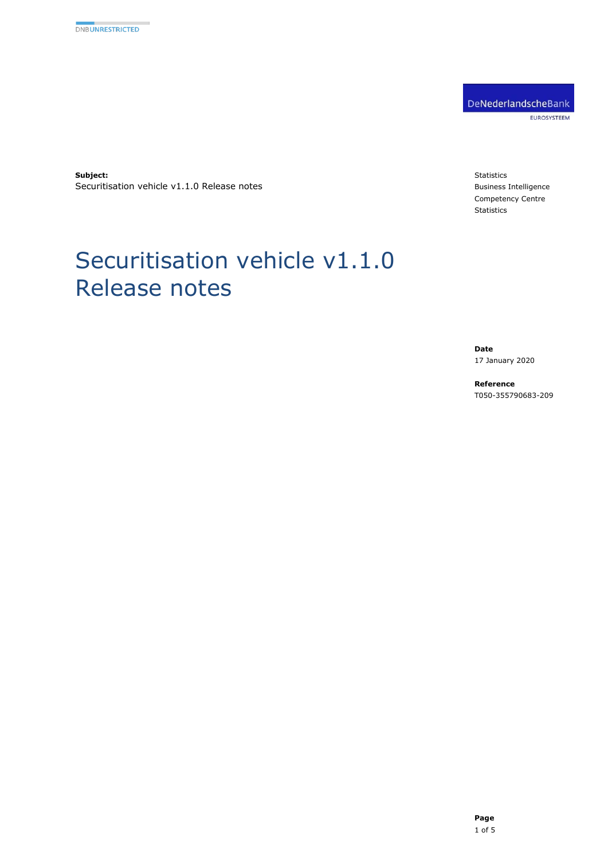DeNederlandscheBank EUROSYSTEEM

**Subject:** Securitisation vehicle v1.1.0 Release notes

Release notes

Securitisation vehicle v1.1.0

**Statistics** Business Intelligence Competency Centre Statistics

#### **Date** 17 January 2020

**Reference** T050-355790683-209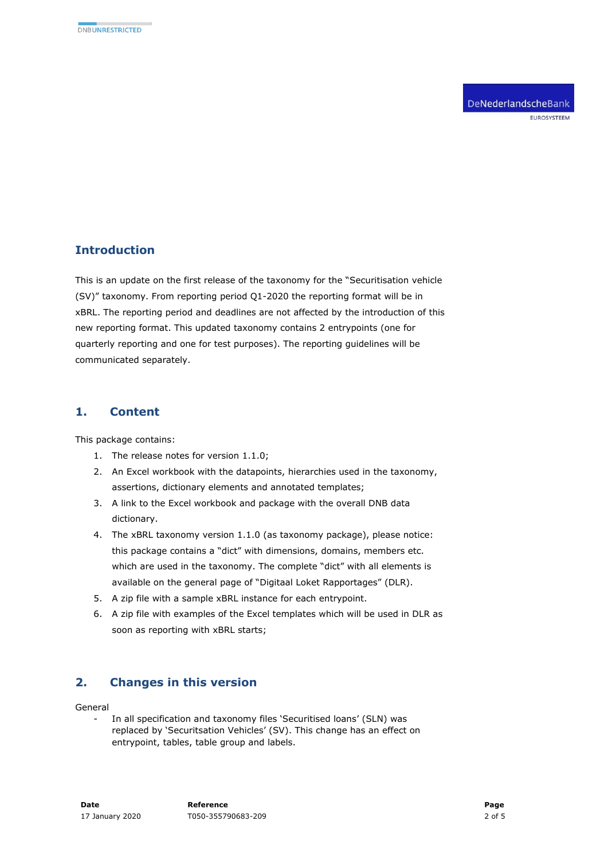DeNederlandscheBank EUROSYSTEEM

## **Introduction**

This is an update on the first release of the taxonomy for the "Securitisation vehicle (SV)" taxonomy. From reporting period Q1-2020 the reporting format will be in xBRL. The reporting period and deadlines are not affected by the introduction of this new reporting format. This updated taxonomy contains 2 entrypoints (one for quarterly reporting and one for test purposes). The reporting guidelines will be communicated separately.

#### **1. Content**

This package contains:

- 1. The release notes for version 1.1.0;
- 2. An Excel workbook with the datapoints, hierarchies used in the taxonomy, assertions, dictionary elements and annotated templates;
- 3. A link to the Excel workbook and package with the overall DNB data dictionary.
- 4. The xBRL taxonomy version 1.1.0 (as taxonomy package), please notice: this package contains a "dict" with dimensions, domains, members etc. which are used in the taxonomy. The complete "dict" with all elements is available on the general page of "Digitaal Loket Rapportages" (DLR).
- 5. A zip file with a sample xBRL instance for each entrypoint.
- 6. A zip file with examples of the Excel templates which will be used in DLR as soon as reporting with xBRL starts;

### **2. Changes in this version**

General

In all specification and taxonomy files 'Securitised loans' (SLN) was replaced by 'Securitsation Vehicles' (SV). This change has an effect on entrypoint, tables, table group and labels.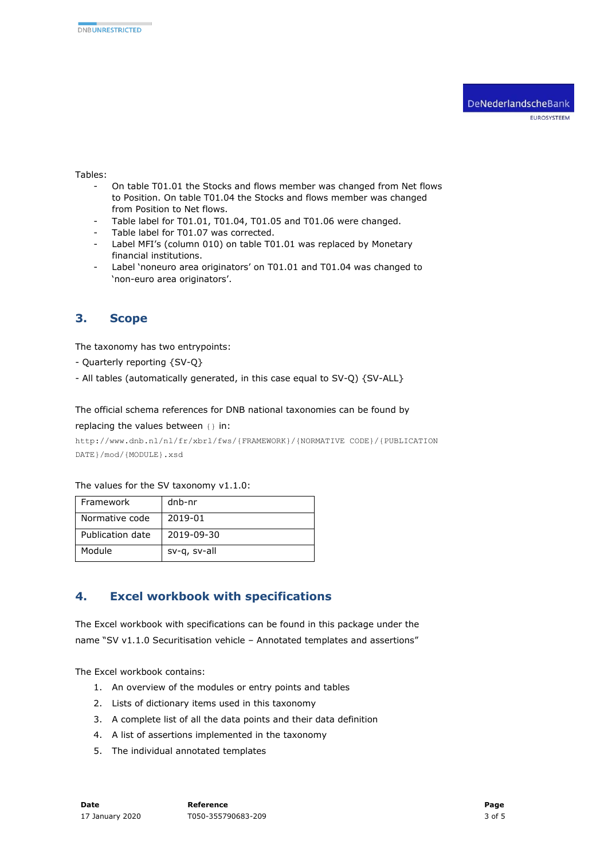#### Tables:

- On table T01.01 the Stocks and flows member was changed from Net flows to Position. On table T01.04 the Stocks and flows member was changed from Position to Net flows.
- Table label for T01.01, T01.04, T01.05 and T01.06 were changed.
- Table label for T01.07 was corrected.
- Label MFI's (column 010) on table T01.01 was replaced by Monetary financial institutions.
- Label 'noneuro area originators' on T01.01 and T01.04 was changed to 'non-euro area originators'.

### **3. Scope**

The taxonomy has two entrypoints:

- Quarterly reporting {SV-Q}
- All tables (automatically generated, in this case equal to SV-Q) {SV-ALL}

The official schema references for DNB national taxonomies can be found by

replacing the values between {} in:

http://www.dnb.nl/nl/fr/xbrl/fws/{FRAMEWORK}/{NORMATIVE CODE}/{PUBLICATION DATE}/mod/{MODULE}.xsd

The values for the SV taxonomy v1.1.0:

| Framework        | dnb-nr       |
|------------------|--------------|
| Normative code   | 2019-01      |
| Publication date | 2019-09-30   |
| Module           | sv-q, sv-all |

### **4. Excel workbook with specifications**

The Excel workbook with specifications can be found in this package under the name "SV v1.1.0 Securitisation vehicle – Annotated templates and assertions"

The Excel workbook contains:

- 1. An overview of the modules or entry points and tables
- 2. Lists of dictionary items used in this taxonomy
- 3. A complete list of all the data points and their data definition
- 4. A list of assertions implemented in the taxonomy
- 5. The individual annotated templates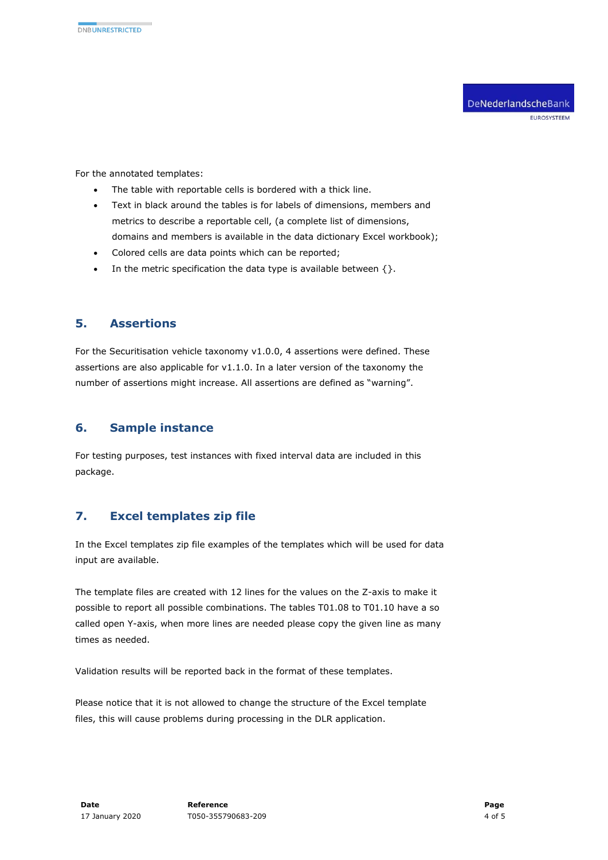For the annotated templates:

- The table with reportable cells is bordered with a thick line.
- Text in black around the tables is for labels of dimensions, members and metrics to describe a reportable cell, (a complete list of dimensions, domains and members is available in the data dictionary Excel workbook);
- Colored cells are data points which can be reported;
- In the metric specification the data type is available between  $\{\}.$

### **5. Assertions**

For the Securitisation vehicle taxonomy v1.0.0, 4 assertions were defined. These assertions are also applicable for v1.1.0. In a later version of the taxonomy the number of assertions might increase. All assertions are defined as "warning".

# **6. Sample instance**

For testing purposes, test instances with fixed interval data are included in this package.

# **7. Excel templates zip file**

In the Excel templates zip file examples of the templates which will be used for data input are available.

The template files are created with 12 lines for the values on the Z-axis to make it possible to report all possible combinations. The tables T01.08 to T01.10 have a so called open Y-axis, when more lines are needed please copy the given line as many times as needed.

Validation results will be reported back in the format of these templates.

Please notice that it is not allowed to change the structure of the Excel template files, this will cause problems during processing in the DLR application.